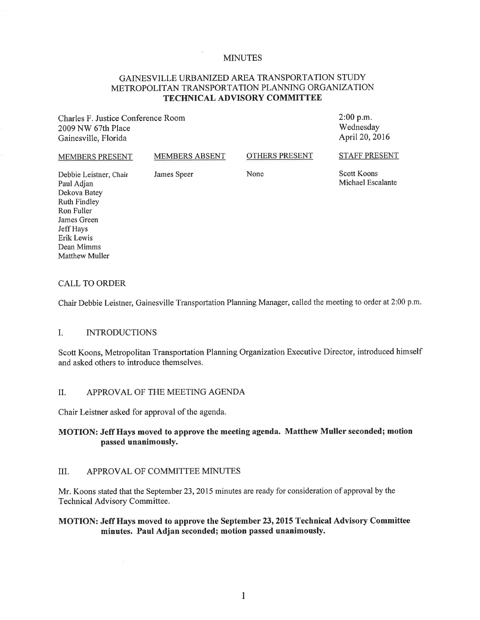#### MINUTES

## GAINESVILLE URBANIZED AREA TRANSPORTATION STUDY METROPOLITAN TRANSPORTATION PLANNING ORGANIZATION **TECHNICAL ADVISORY COMMITTEE**

Charles F. Justice Conference Room 2009 NW 67th Place Gainesville, Florida

2:00 **p.m.**  Wednesday April 20, 2016

#### MEMBERS PRESENT Debbie Leistner, Chair Paul Adjan MEMBERS ABSENT James Speer OTHERS PRESENT None STAFF PRESENT Scott Koons Michael Escalante

Dekova Batey Ruth Findley Ron Fuller James Green Jeff Hays Erik Lewis Dean Mimms Matthew Muller

#### CALL TO ORDER

Chair Debbie Leistner, Gainesville Transportation Planning Manager, called the meeting to order at 2:00 p.m.

#### I. INTRODUCTIONS

Scott Koons, Metropolitan Transportation Planning Organization Executive Director, introduced himself and asked others to introduce themselves.

#### II. APPROVAL OF THE MEETING AGENDA

Chair Leistner asked for approval of the agenda.

## **MOTION: Jeff Hays moved to approve the meeting agenda. Matthew Muller seconded; motion passed unanimously.**

#### III. APPROVAL OF COMMITTEE MINUTES

Mr. Koons stated that the September 23, 2015 minutes are ready for consideration of approval by the Technical Advisory Committee.

#### **MOTION: Jeff Hays moved to approve the September 23, 2015 Technical Advisory Committee minutes. Paul Adjan seconded; motion passed unanimously.**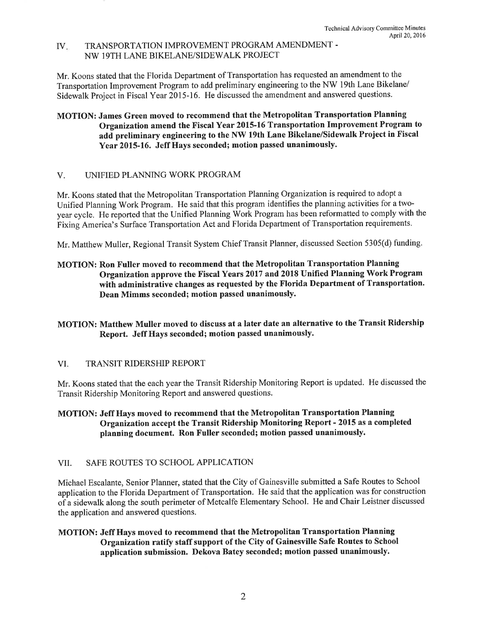#### IV. TRANSPORTATION IMPROVEMENT PROGRAM AMENDMENT - NW 19TH LANE BIKELANE/SIDEW ALK PROJECT

Mr. Koons stated that the Florida Department of Transportation has requested an amendment to the Transportation Improvement Program to add preliminary engineering to the NW 19th Lane Bikelane/ Sidewalk Project in Fiscal Year 2015-16. He discussed the amendment and answered questions.

## MOTION: James Green moved to recommend that the Metropolitan Transportation Planning Organization amend the Fiscal Year 2015-16 Transportation Improvement Program to add preliminary engineering to the NW 19th Lane Bikelane/Sidewalk Project in Fiscal Year 2015-16. Jeff Hays seconded; motion passed unanimously.

## V. UNIFIED PLANNING WORK PROGRAM

Mr. Koons stated that the Metropolitan Transportation Planning Organization is required to adopt a Unified Planning Work Program. He said that this program identifies the planning activities for a twoyear cycle. He reported that the Unified Planning Work Program has been reformatted to comply with the Fixing America's Surface Transportation Act and Florida Department of Transportation requirements.

Mr. Matthew Muller, Regional Transit System Chief Transit Planner, discussed Section 5305(d) funding.

## MOTION: Ron Fuller moved to recommend that the Metropolitan Transportation Planning Organization approve the Fiscal Years 2017 and 2018 Unified Planning Work Program with administrative changes as requested by the Florida Department of Transportation. Dean Mimms seconded; motion passed unanimously.

## MOTION: Matthew Muller moved to discuss at a later date an alternative to the Transit Ridership Report. Jeff Hays seconded; motion passed unanimously.

## VI. TRANSIT RIDERSHIP REPORT

Mr. Koons stated that the each year the Transit Ridership Monitoring Report is updated. He discussed the Transit Ridership Monitoring Report and answered questions.

## MOTION: Jeff Hays moved to recommend that the Metropolitan Transportation Planning Organization accept the Transit Ridership Monitoring Report - 2015 as a completed <sup>p</sup>lanning document. Ron Fuller seconded; motion passed unanimously.

## VII. SAFE ROUTES TO SCHOOL APPLICATION

Michael Escalante, Senior Planner, stated that the City of Gainesville submitted a Safe Routes to School application to the Florida Department of Transportation. He said that the application was for construction of a sidewalk along the south perimeter of Metcalfe Elementary School. He and Chair Leistner discussed the application and answered questions.

## MOTION: Jeff Hays moved to recommend that the Metropolitan Transportation Planning Organization ratify staff support of the City of Gainesville Safe Routes to School application submission. Dekova Batey seconded; motion passed unanimously.